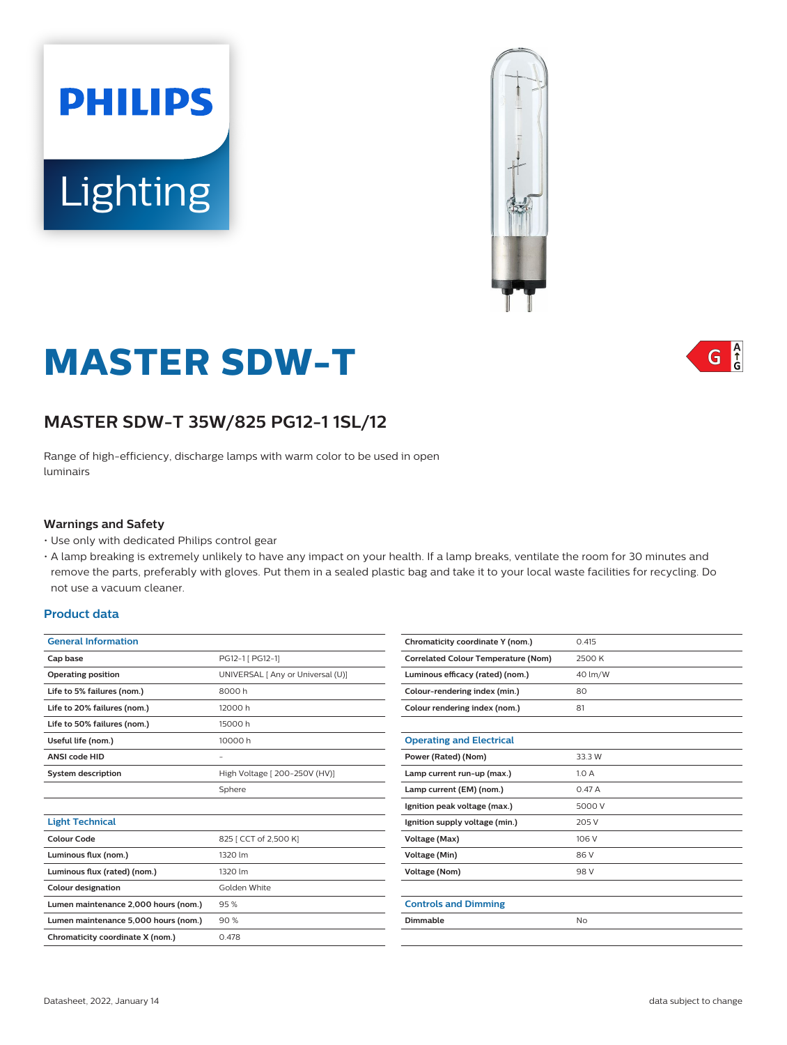



## $G \nvert_{G}^A$

# **MASTER SDW-T**

## **MASTER SDW-T 35W/825 PG12-1 1SL/12**

Range of high-efficiency, discharge lamps with warm color to be used in open luminairs

#### **Warnings and Safety**

- Use only with dedicated Philips control gear
- A lamp breaking is extremely unlikely to have any impact on your health. If a lamp breaks, ventilate the room for 30 minutes and remove the parts, preferably with gloves. Put them in a sealed plastic bag and take it to your local waste facilities for recycling. Do not use a vacuum cleaner.

#### **Product data**

| <b>General Information</b>           |                                   |
|--------------------------------------|-----------------------------------|
| Cap base                             | PG12-1 [ PG12-1]                  |
| <b>Operating position</b>            | UNIVERSAL [ Any or Universal (U)] |
| Life to 5% failures (nom.)           | 8000h                             |
| Life to 20% failures (nom.)          | 12000 h                           |
| Life to 50% failures (nom.)          | 15000 h                           |
| Useful life (nom.)                   | 10000 h                           |
| <b>ANSI code HID</b>                 |                                   |
| <b>System description</b>            | High Voltage [ 200-250V (HV)]     |
|                                      | Sphere                            |
|                                      |                                   |
| <b>Light Technical</b>               |                                   |
| Colour Code                          | 825   CCT of 2,500 K]             |
| Luminous flux (nom.)                 | 1320 lm                           |
| Luminous flux (rated) (nom.)         | 1320 lm                           |
| <b>Colour designation</b>            | Golden White                      |
| Lumen maintenance 2,000 hours (nom.) | 95%                               |
| Lumen maintenance 5,000 hours (nom.) | 90%                               |
| Chromaticity coordinate X (nom.)     | 0.478                             |

| Chromaticity coordinate Y (nom.)           | 0.415   |
|--------------------------------------------|---------|
| <b>Correlated Colour Temperature (Nom)</b> | 2500 K  |
| Luminous efficacy (rated) (nom.)           | 40 lm/W |
| Colour-rendering index (min.)              | 80      |
| Colour rendering index (nom.)              | 81      |
|                                            |         |
| <b>Operating and Electrical</b>            |         |
| Power (Rated) (Nom)                        | 33.3 W  |
| Lamp current run-up (max.)                 | 1.0A    |
| Lamp current (EM) (nom.)                   | 0.47A   |
| Ignition peak voltage (max.)               | 5000 V  |
| Ignition supply voltage (min.)             | 205 V   |
| Voltage (Max)                              | 106 V   |
| Voltage (Min)                              | 86 V    |
| <b>Voltage (Nom)</b>                       | 98 V    |
|                                            |         |
| <b>Controls and Dimming</b>                |         |
| Dimmable                                   | No      |
|                                            |         |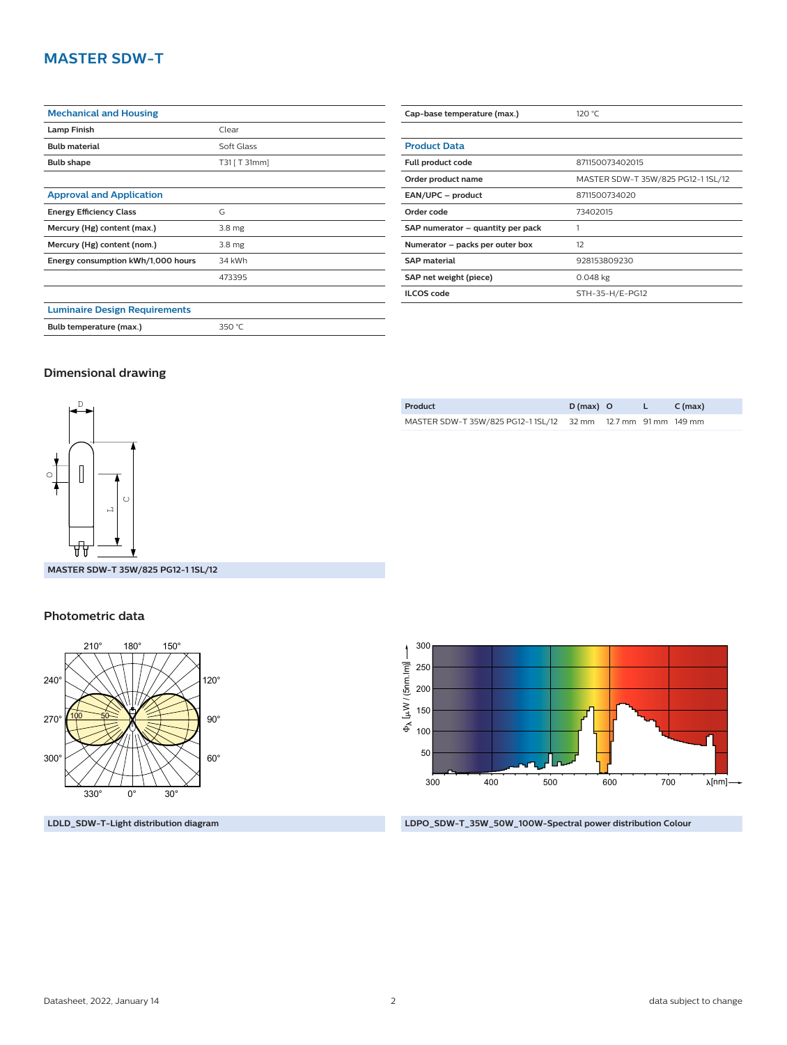## **MASTER SDW-T**

| <b>Mechanical and Housing</b>        |                   |
|--------------------------------------|-------------------|
| <b>Lamp Finish</b>                   | Clear             |
| <b>Bulb material</b>                 | Soft Glass        |
| <b>Bulb shape</b>                    | T31 [ T 31mm]     |
|                                      |                   |
| <b>Approval and Application</b>      |                   |
| <b>Energy Efficiency Class</b>       | G                 |
| Mercury (Hg) content (max.)          | 3.8 <sub>mg</sub> |
| Mercury (Hg) content (nom.)          | 3.8 <sub>mg</sub> |
| Energy consumption kWh/1,000 hours   | 34 kWh            |
|                                      | 473395            |
|                                      |                   |
| <b>Luminaire Design Requirements</b> |                   |
| Bulb temperature (max.)              | 350 °C            |

| Cap-base temperature (max.)       | 120 °C                             |
|-----------------------------------|------------------------------------|
|                                   |                                    |
| <b>Product Data</b>               |                                    |
| Full product code                 | 871150073402015                    |
| Order product name                | MASTER SDW-T 35W/825 PG12-1 1SL/12 |
| EAN/UPC - product                 | 8711500734020                      |
| Order code                        | 73402015                           |
| SAP numerator – quantity per pack |                                    |
| Numerator – packs per outer box   | 12                                 |
| <b>SAP material</b>               | 928153809230                       |
| SAP net weight (piece)            | $0.048$ kg                         |
| <b>ILCOS code</b>                 | STH-35-H/E-PG12                    |

#### **Dimensional drawing**



**Product D (max) O L C (max)** MASTER SDW-T 35W/825 PG12-1 1SL/12 32 mm 12.7 mm 91 mm 149 mm

**MASTER SDW-T 35W/825 PG12-1 1SL/12**

#### **Photometric data**



**LDLD\_SDW-T-Light distribution diagram**



**LDPO\_SDW-T\_35W\_50W\_100W-Spectral power distribution Colour**